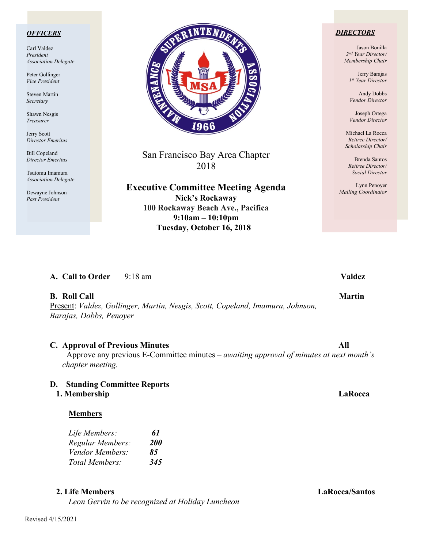### *OFFICERS*

Carl Valdez *President Association Delegate*

Peter Gollinger *Vice President*

Steven Martin *Secretary*

Shawn Nesgis *Treasurer*

Jerry Scott *Director Emeritus*

Bill Copeland *Director Emeritus*

Tsutomu Imamura *Association Delegate*

Dewayne Johnson *Past President*



San Francisco Bay Area Chapter 2018

**Executive Committee Meeting Agenda Nick's Rockaway 100 Rockaway Beach Ave., Pacifica 9:10am – 10:10pm Tuesday, October 16, 2018**

### *DIRECTORS*

Jason Bonilla *2nd Year Director/ Membership Chair*

> Jerry Barajas *1st Year Director*

Andy Dobbs *Vendor Director*

Joseph Ortega *Vendor Director*

Michael La Rocca *Retiree Director/ Scholarship Chair*

Brenda Santos *Retiree Director/ Social Director*

Lynn Penoyer *Mailing Coordinator*

## **A. Call to Order** 9:18 am **Valdez**

### **B.** Roll Call Martin **Martin**

Present: *Valdez, Gollinger, Martin, Nesgis, Scott, Copeland, Imamura, Johnson, Barajas, Dobbs, Penoyer*

### **C. Approval of Previous Minutes All**

Approve any previous E-Committee minutes – *awaiting approval of minutes at next month's chapter meeting.*

## **D. Standing Committee Reports**

### **1. Membership LaRocca**

| Life Members:    | 61         |
|------------------|------------|
| Regular Members: | <i>200</i> |
| Vendor Members:  | 85         |
| Total Members:   | 345        |

### **2. Life Members LaRocca/Santos**

*Leon Gervin to be recognized at Holiday Luncheon*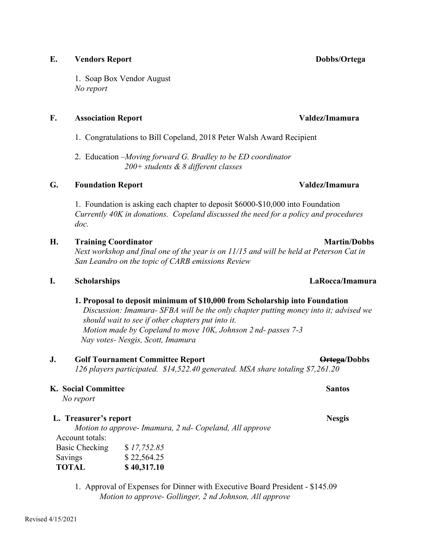## **E. Vendors Report Dobbs/Ortega**

1. Soap Box Vendor August *No report*

## **F. Association Report Valdez/Imamura**

- 1. Congratulations to Bill Copeland, 2018 Peter Walsh Award Recipient
- 2. Education –*Moving forward G. Bradley to be ED coordinator 200+ students & 8 different classes*

# **G. Foundation Report Valdez/Imamura**

1. Foundation is asking each chapter to deposit \$6000-\$10,000 into Foundation *Currently 40K in donations. Copeland discussed the need for a policy and procedures doc.*

# **H. Training Coordinator Martin/Dobbs**

*Next workshop and final one of the year is on 11/15 and will be held at Peterson Cat in San Leandro on the topic of CARB emissions Review*

# **I. Scholarships LaRocca/Imamura**

# **1. Proposal to deposit minimum of \$10,000 from Scholarship into Foundation**

*Discussion: Imamura- SFBA will be the only chapter putting money into it; advised we should wait to see if other chapters put into it.*  *Motion made by Copeland to move 10K, Johnson 2 nd- passes 7-3 Nay votes- Nesgis, Scott, Imamura*

# **J. Golf Tournament Committee Report Committee Report Ortega/Dobbs**

*126 players participated. \$14,522.40 generated. MSA share totaling \$7,261.20*

# **K. Social Committee Santos Santos Committee Santos Santos Santos Santos Santos Santos Santos Santos Santos Santos Santos Santos Santos Santos Santos Santos Santos Santos Santos Santos Santos Santos Santos Santos Santos Sa**

*No report*

# **L. Treasurer's report Nesgis**

*Motion to approve- Imamura, 2 nd- Copeland, All approve* Account totals: Basic Checking \$ *17,752.85* Savings \$ 22,564.25 **TOTAL \$ 40,317.10**

1.Approval of Expenses for Dinner with Executive Board President - \$145.09 *Motion to approve- Gollinger, 2 nd Johnson, All approve*